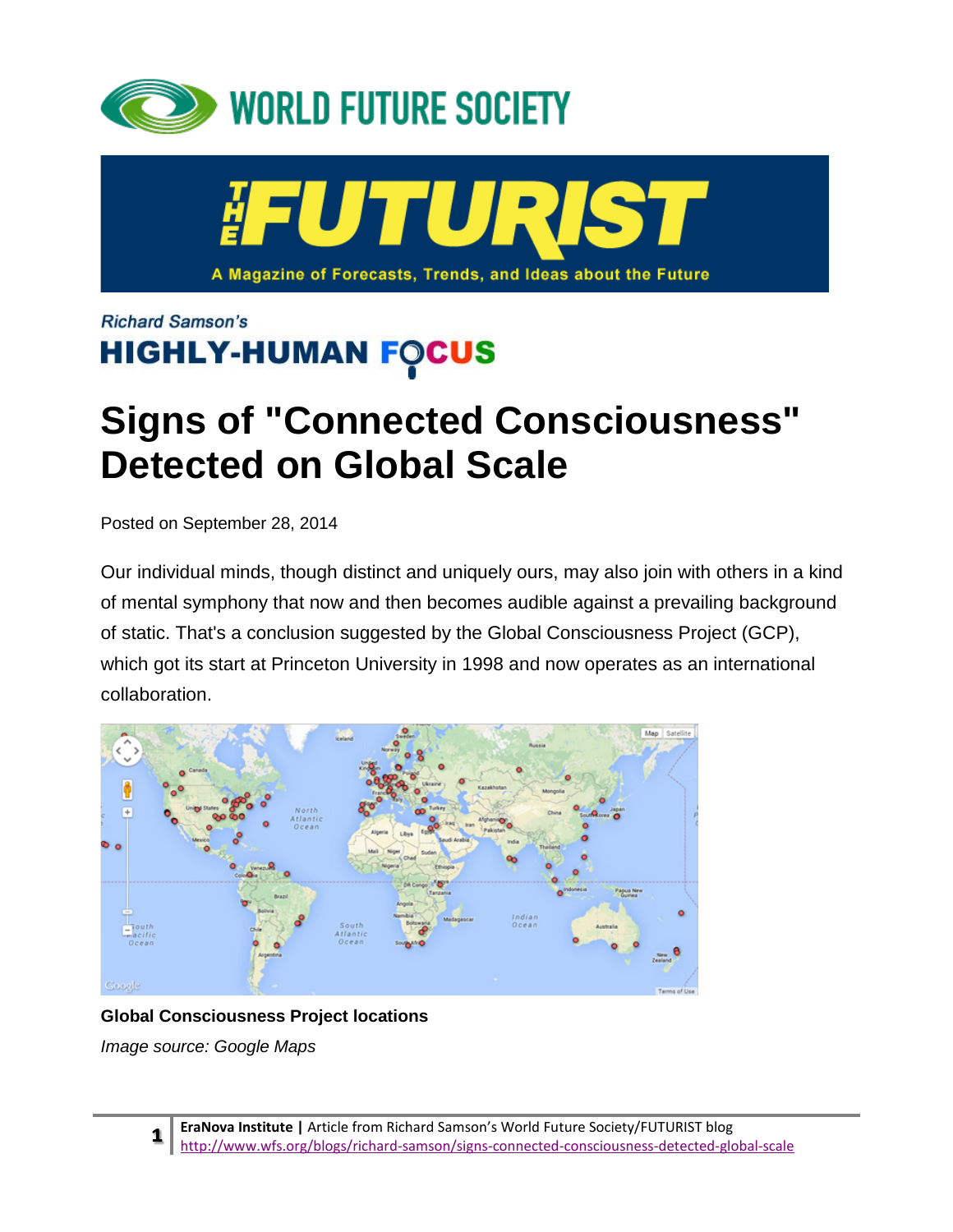



**Richard Samson's HIGHLY-HUMAN FOCUS** 

# **Signs of "Connected Consciousness" Detected on Global Scale**

Posted on September 28, 2014

Our individual minds, though distinct and uniquely ours, may also join with others in a kind of mental symphony that now and then becomes audible against a prevailing background of static. That's a conclusion suggested by the Global Consciousness Project (GCP), which got its start at Princeton University in 1998 and now operates as an international collaboration.



#### **Global Consciousness Project locations**

*Image source: Google Maps*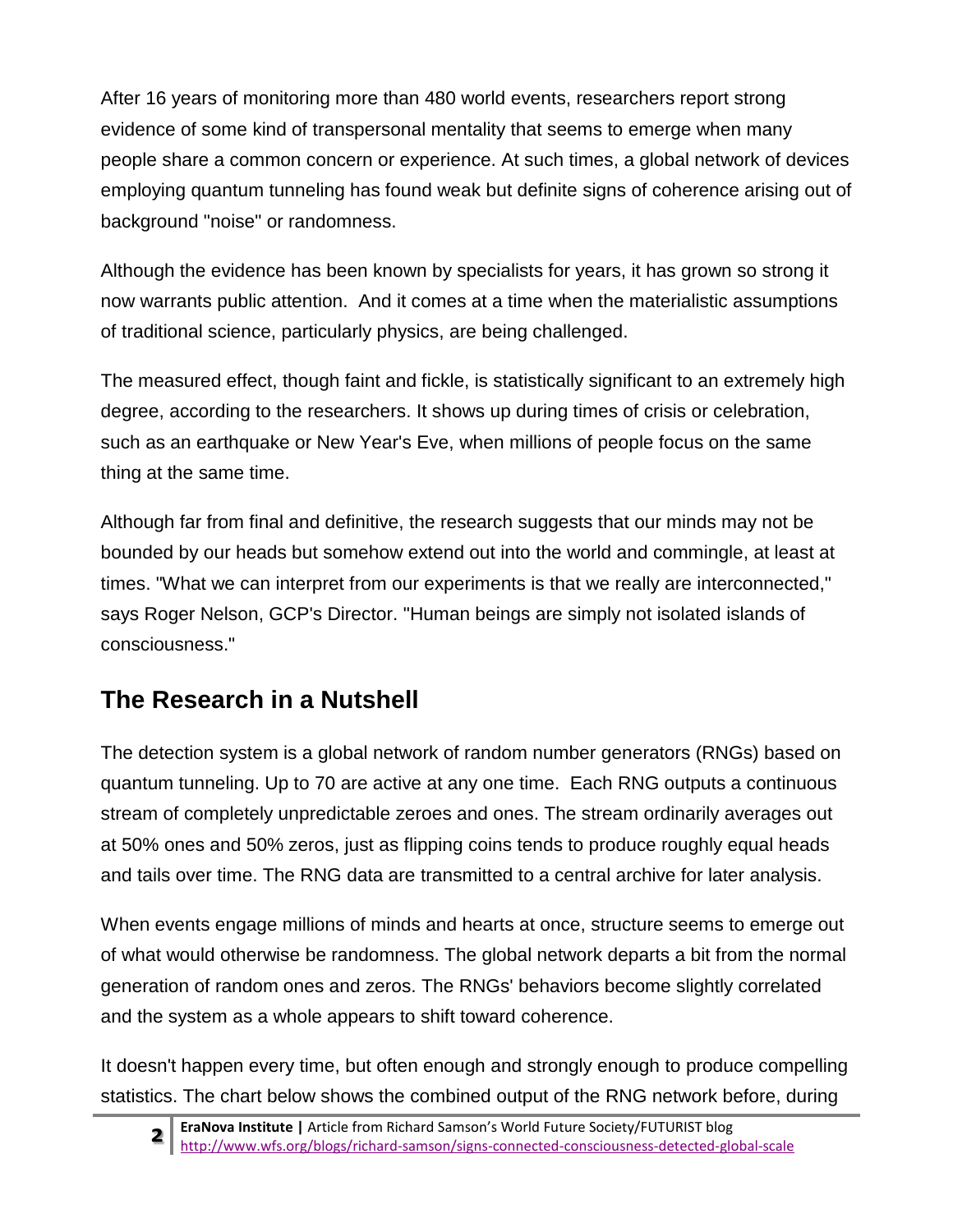After 16 years of monitoring more than 480 world events, researchers report strong evidence of some kind of transpersonal mentality that seems to emerge when many people share a common concern or experience. At such times, a global network of devices employing quantum tunneling has found weak but definite signs of coherence arising out of background "noise" or randomness.

Although the evidence has been known by specialists for years, it has grown so strong it now warrants public attention. And it comes at a time when the materialistic assumptions of traditional science, particularly physics, are being challenged.

The measured effect, though faint and fickle, is statistically significant to an extremely high degree, according to the researchers. It shows up during times of crisis or celebration, such as an earthquake or New Year's Eve, when millions of people focus on the same thing at the same time.

Although far from final and definitive, the research suggests that our minds may not be bounded by our heads but somehow extend out into the world and commingle, at least at times. "What we can interpret from our experiments is that we really are interconnected," says Roger Nelson, GCP's Director. "Human beings are simply not isolated islands of consciousness."

### **The Research in a Nutshell**

The detection system is a global network of random number generators (RNGs) based on quantum tunneling. Up to 70 are active at any one time. Each RNG outputs a continuous stream of completely unpredictable zeroes and ones. The stream ordinarily averages out at 50% ones and 50% zeros, just as flipping coins tends to produce roughly equal heads and tails over time. The RNG data are transmitted to a central archive for later analysis.

When events engage millions of minds and hearts at once, structure seems to emerge out of what would otherwise be randomness. The global network departs a bit from the normal generation of random ones and zeros. The RNGs' behaviors become slightly correlated and the system as a whole appears to shift toward coherence.

It doesn't happen every time, but often enough and strongly enough to produce compelling statistics. The chart below shows the combined output of the RNG network before, during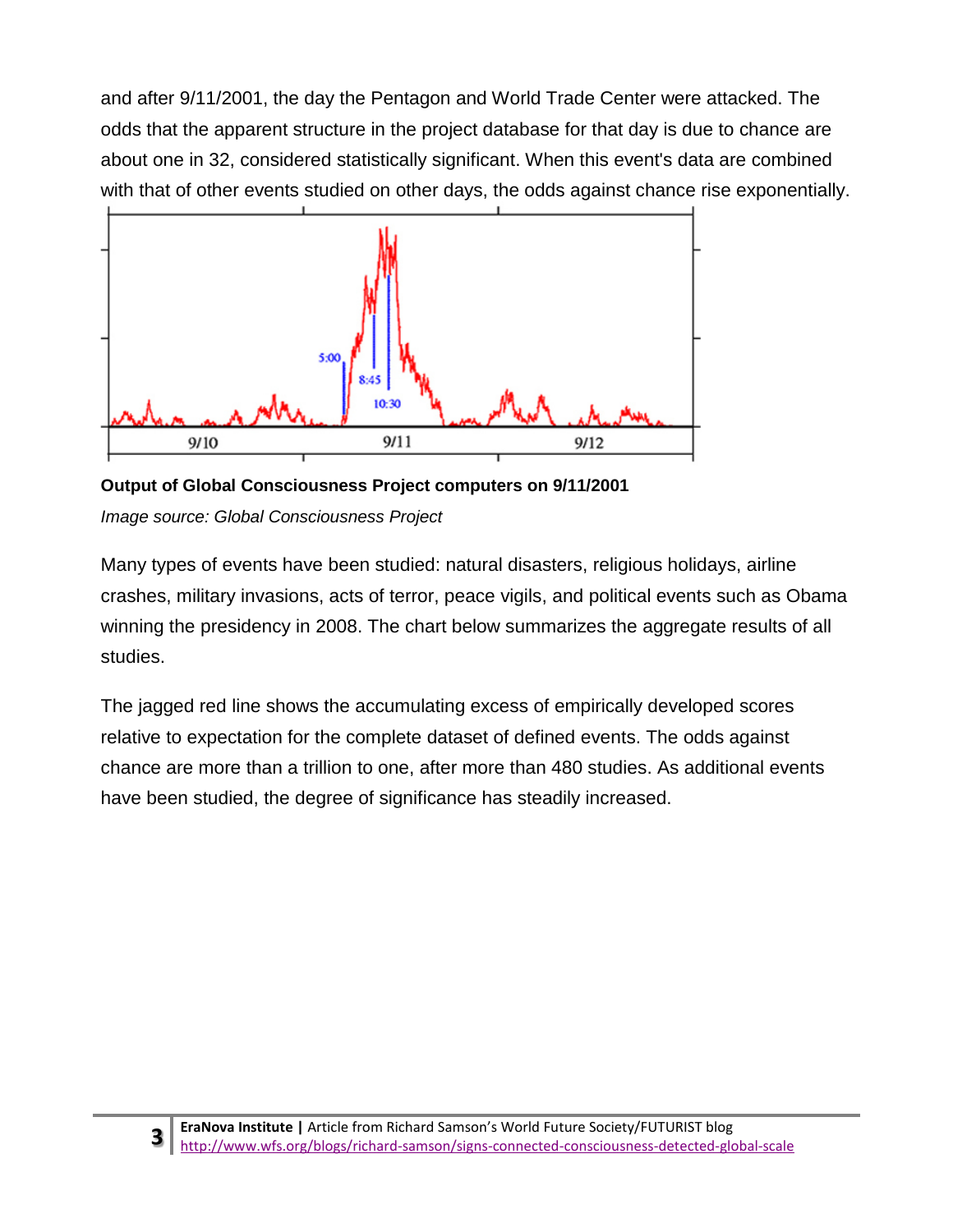and after 9/11/2001, the day the Pentagon and World Trade Center were attacked. The odds that the apparent structure in the project database for that day is due to chance are about one in 32, considered statistically significant. When this event's data are combined [with that of other events studied on other days, the odds against chance r](http://api.ning.com/files/mClk6LlNRyv31XMW1bWSUN0LQces6nHjmZ*6yPVEZA8wCTQLKUS1-VC1DFClCvlT*1Ya1VG379bMb7B3dsrsH7NbanEO6yWm/911_REG_results.jpg)ise exponentially.



**Output of Global Consciousness Project computers on 9/11/2001** *Image source: Global Consciousness Project*

Many types of events have been studied: natural disasters, religious holidays, airline crashes, military invasions, acts of terror, peace vigils, and political events such as Obama winning the presidency in 2008. The chart below summarizes the aggregate results of all studies.

The jagged red line shows the accumulating excess of empirically developed scores relative to expectation for the complete dataset of defined events. The odds against chance are more than a trillion to one, after more than 480 studies. As additional events have been studied, the degree of significance has steadily increased.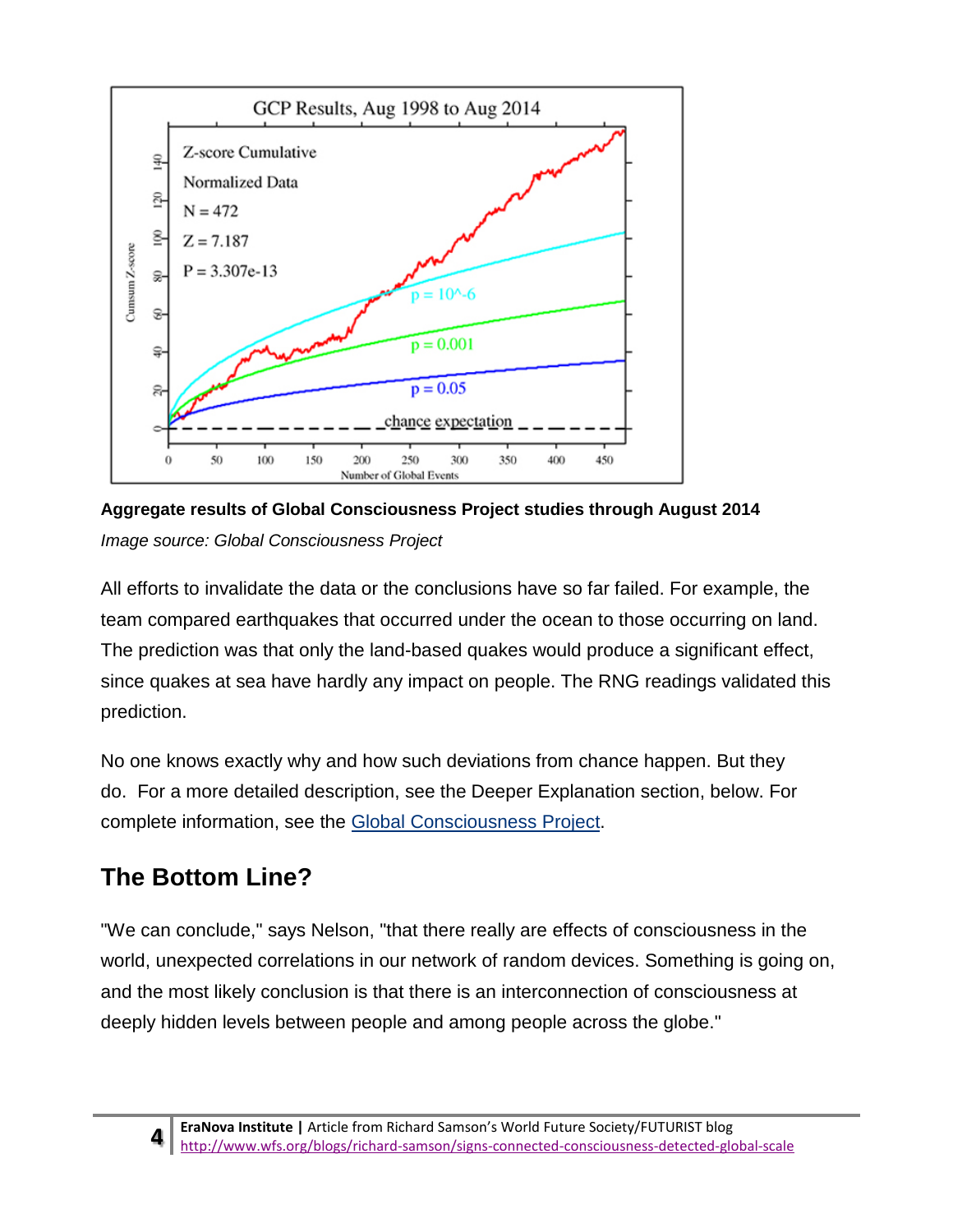

**Aggregate results of Global Consciousness Project studies through August 2014** *Image source: Global Consciousness Project*

All efforts to invalidate the data or the conclusions have so far failed. For example, the team compared earthquakes that occurred under the ocean to those occurring on land. The prediction was that only the land-based quakes would produce a significant effect, since quakes at sea have hardly any impact on people. The RNG readings validated this prediction.

No one knows exactly why and how such deviations from chance happen. But they do. For a more detailed description, see the Deeper Explanation section, below. For complete information, see the [Global Consciousness Project.](http://global-mind.org/)

# **The Bottom Line?**

"We can conclude," says Nelson, "that there really are effects of consciousness in the world, unexpected correlations in our network of random devices. Something is going on, and the most likely conclusion is that there is an interconnection of consciousness at deeply hidden levels between people and among people across the globe."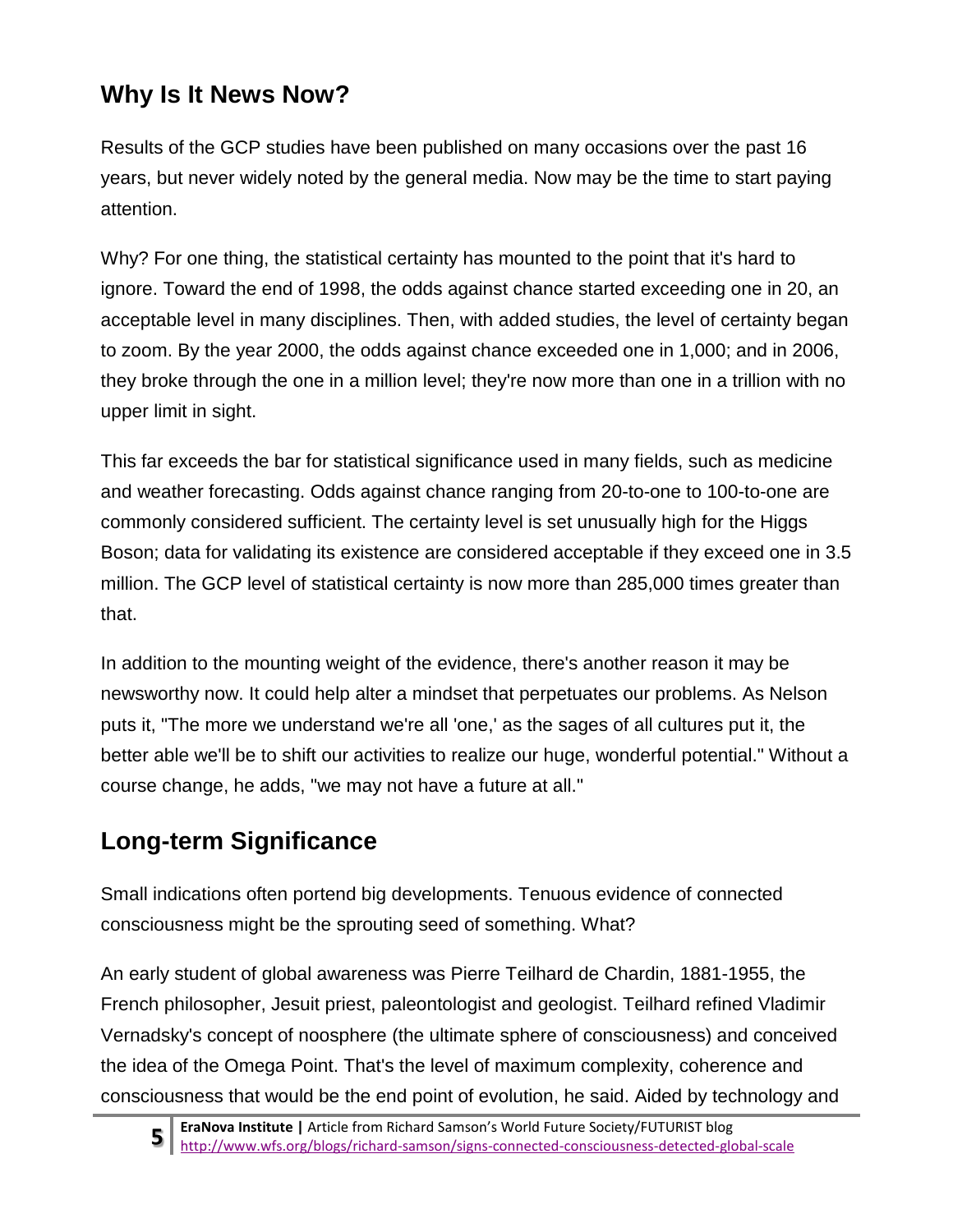# **Why Is It News Now?**

Results of the GCP studies have been published on many occasions over the past 16 years, but never widely noted by the general media. Now may be the time to start paying attention.

Why? For one thing, the statistical certainty has mounted to the point that it's hard to ignore. Toward the end of 1998, the odds against chance started exceeding one in 20, an acceptable level in many disciplines. Then, with added studies, the level of certainty began to zoom. By the year 2000, the odds against chance exceeded one in 1,000; and in 2006, they broke through the one in a million level; they're now more than one in a trillion with no upper limit in sight.

This far exceeds the bar for statistical significance used in many fields, such as medicine and weather forecasting. Odds against chance ranging from 20-to-one to 100-to-one are commonly considered sufficient. The certainty level is set unusually high for the Higgs Boson; data for validating its existence are considered acceptable if they exceed one in 3.5 million. The GCP level of statistical certainty is now more than 285,000 times greater than that.

In addition to the mounting weight of the evidence, there's another reason it may be newsworthy now. It could help alter a mindset that perpetuates our problems. As Nelson puts it, "The more we understand we're all 'one,' as the sages of all cultures put it, the better able we'll be to shift our activities to realize our huge, wonderful potential." Without a course change, he adds, "we may not have a future at all."

# **Long-term Significance**

Small indications often portend big developments. Tenuous evidence of connected consciousness might be the sprouting seed of something. What?

An early student of global awareness was Pierre Teilhard de Chardin, 1881-1955, the French philosopher, Jesuit priest, paleontologist and geologist. Teilhard refined Vladimir Vernadsky's concept of noosphere (the ultimate sphere of consciousness) and conceived the idea of the Omega Point. That's the level of maximum complexity, coherence and consciousness that would be the end point of evolution, he said. Aided by technology and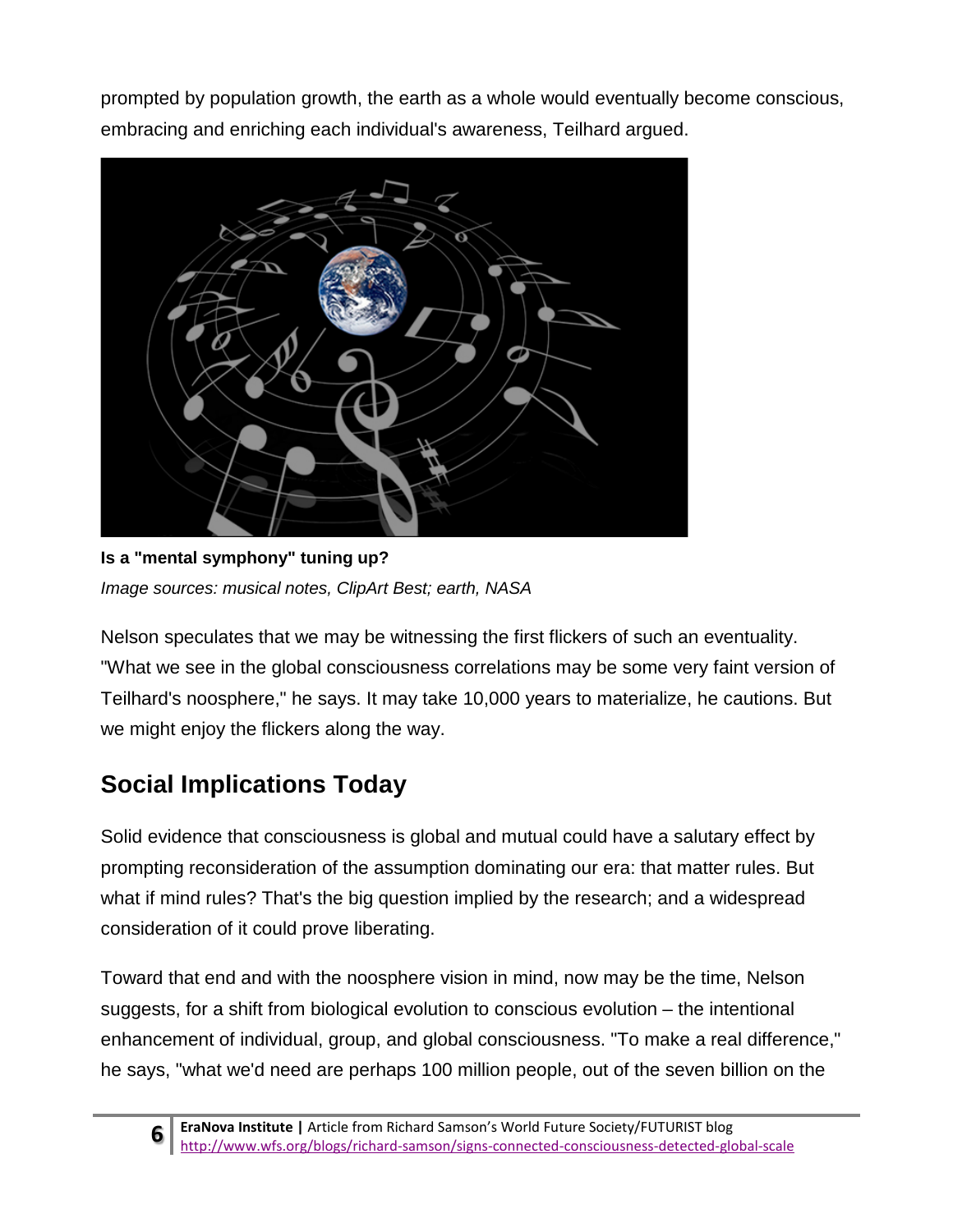prompted by population growth, the earth as a whole would eventually become conscious, embracing and enriching each individual's awareness, Teilhard argued.



**Is a "mental symphony" tuning up?** *Image sources: musical notes, ClipArt Best; earth, NASA*

Nelson speculates that we may be witnessing the first flickers of such an eventuality. "What we see in the global consciousness correlations may be some very faint version of Teilhard's noosphere," he says. It may take 10,000 years to materialize, he cautions. But we might enjoy the flickers along the way.

# **Social Implications Today**

Solid evidence that consciousness is global and mutual could have a salutary effect by prompting reconsideration of the assumption dominating our era: that matter rules. But what if mind rules? That's the big question implied by the research; and a widespread consideration of it could prove liberating.

Toward that end and with the noosphere vision in mind, now may be the time, Nelson suggests, for a shift from biological evolution to conscious evolution – the intentional enhancement of individual, group, and global consciousness. "To make a real difference," he says, "what we'd need are perhaps 100 million people, out of the seven billion on the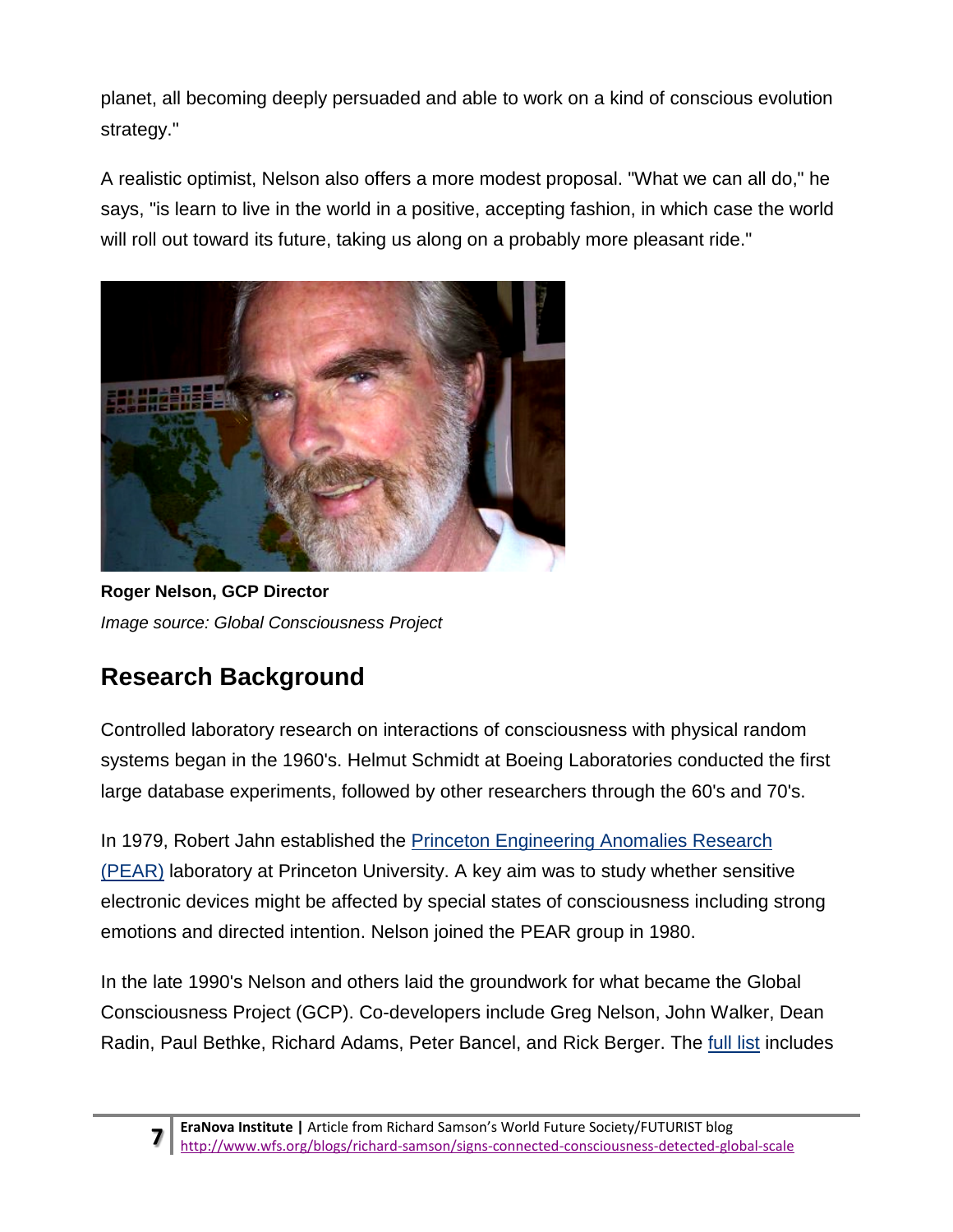planet, all becoming deeply persuaded and able to work on a kind of conscious evolution strategy."

A realistic optimist, Nelson also offers a more modest proposal. "What we can all do," he says, "is learn to live in the world in a positive, accepting fashion, in which case the world will roll out toward its future, taking us along on a probably more pleasant ride."



**Roger Nelson, GCP Director** *Image source: Global Consciousness Project*

# **Research Background**

Controlled laboratory research on interactions of consciousness with physical random systems began in the 1960's. Helmut Schmidt at Boeing Laboratories conducted the first large database experiments, followed by other researchers through the 60's and 70's.

In 1979, Robert Jahn established the [Princeton Engineering Anomalies Research](http://www.princeton.edu/~pear/)  [\(PEAR\)](http://www.princeton.edu/~pear/) laboratory at Princeton University. A key aim was to study whether sensitive electronic devices might be affected by special states of consciousness including strong emotions and directed intention. Nelson joined the PEAR group in 1980.

In the late 1990's Nelson and others laid the groundwork for what became the Global Consciousness Project (GCP). Co-developers include Greg Nelson, John Walker, Dean Radin, Paul Bethke, Richard Adams, Peter Bancel, and Rick Berger. The [full list](http://global-mind.org/programming.html) includes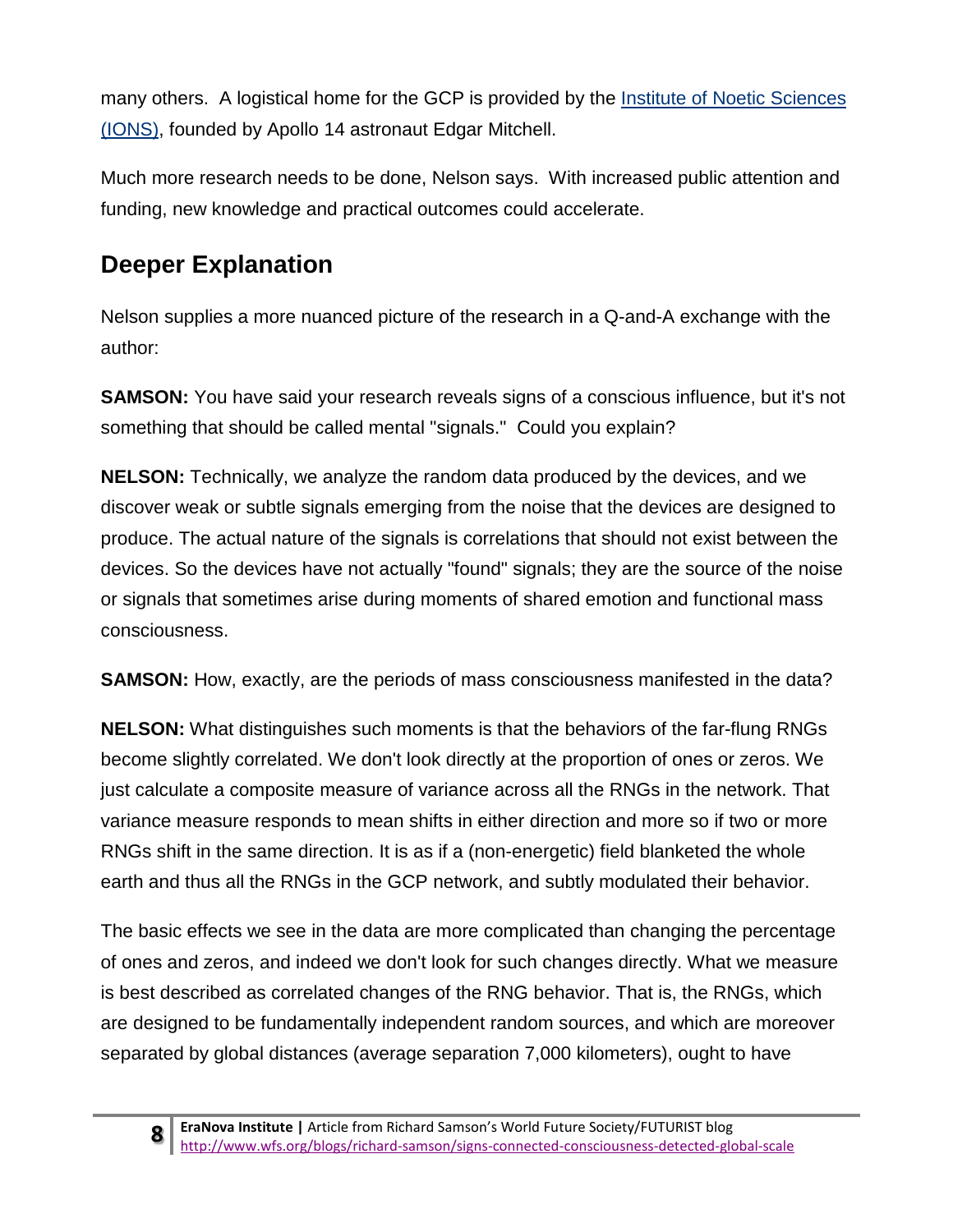many others. A logistical home for the GCP is provided by the Institute of Noetic Sciences [\(IONS\),](http://www.noetic.org/research/project/global-consciousness-project/) founded by Apollo 14 astronaut Edgar Mitchell.

Much more research needs to be done, Nelson says. With increased public attention and funding, new knowledge and practical outcomes could accelerate.

### **Deeper Explanation**

Nelson supplies a more nuanced picture of the research in a Q-and-A exchange with the author:

**SAMSON:** You have said your research reveals signs of a conscious influence, but it's not something that should be called mental "signals." Could you explain?

**NELSON:** Technically, we analyze the random data produced by the devices, and we discover weak or subtle signals emerging from the noise that the devices are designed to produce. The actual nature of the signals is correlations that should not exist between the devices. So the devices have not actually "found" signals; they are the source of the noise or signals that sometimes arise during moments of shared emotion and functional mass consciousness.

**SAMSON:** How, exactly, are the periods of mass consciousness manifested in the data?

**NELSON:** What distinguishes such moments is that the behaviors of the far-flung RNGs become slightly correlated. We don't look directly at the proportion of ones or zeros. We just calculate a composite measure of variance across all the RNGs in the network. That variance measure responds to mean shifts in either direction and more so if two or more RNGs shift in the same direction. It is as if a (non-energetic) field blanketed the whole earth and thus all the RNGs in the GCP network, and subtly modulated their behavior.

The basic effects we see in the data are more complicated than changing the percentage of ones and zeros, and indeed we don't look for such changes directly. What we measure is best described as correlated changes of the RNG behavior. That is, the RNGs, which are designed to be fundamentally independent random sources, and which are moreover separated by global distances (average separation 7,000 kilometers), ought to have